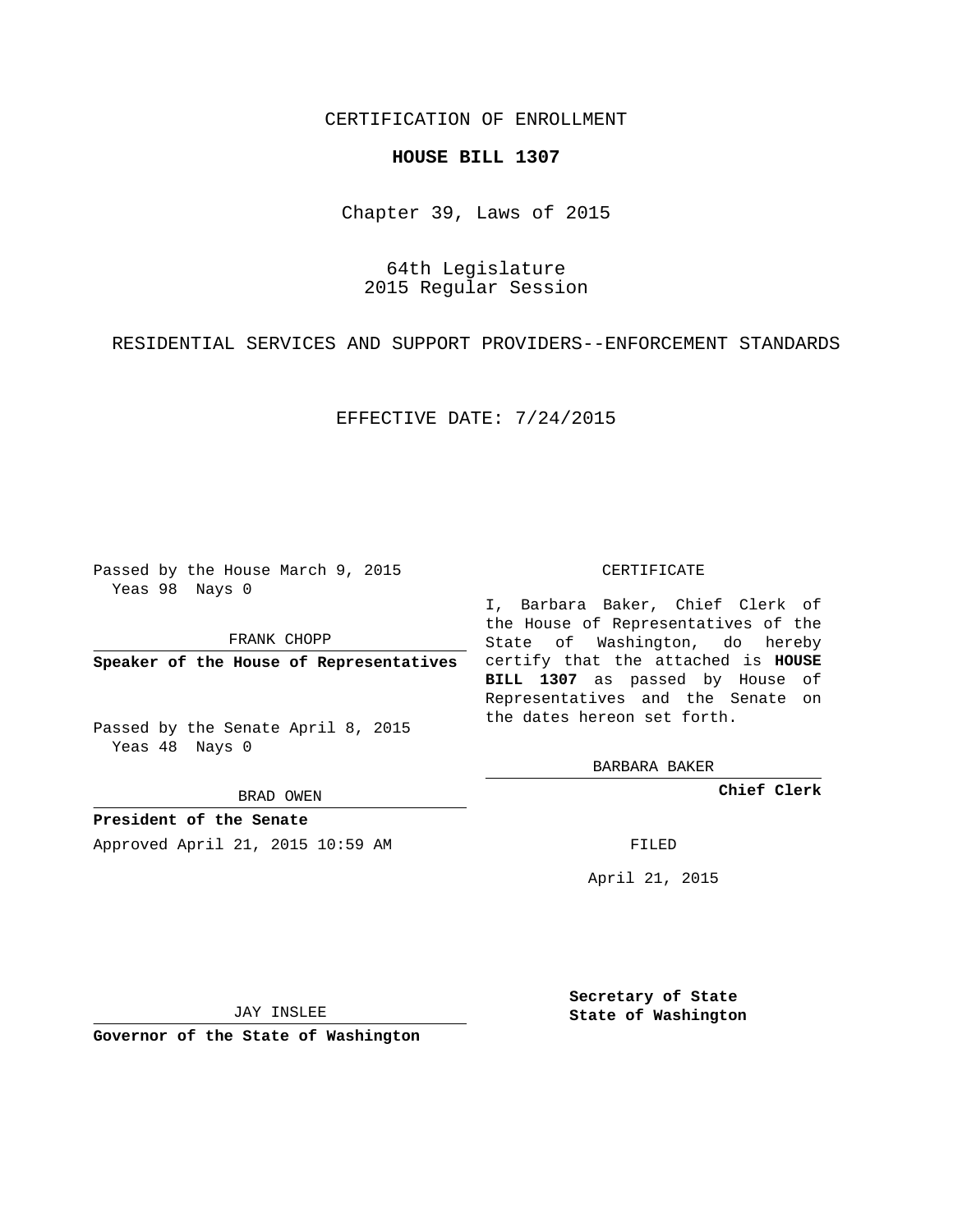## CERTIFICATION OF ENROLLMENT

### **HOUSE BILL 1307**

Chapter 39, Laws of 2015

64th Legislature 2015 Regular Session

RESIDENTIAL SERVICES AND SUPPORT PROVIDERS--ENFORCEMENT STANDARDS

EFFECTIVE DATE: 7/24/2015

Passed by the House March 9, 2015 Yeas 98 Nays 0

FRANK CHOPP

Passed by the Senate April 8, 2015 Yeas 48 Nays 0

BRAD OWEN

**President of the Senate**

Approved April 21, 2015 10:59 AM FILED

#### CERTIFICATE

**Speaker of the House of Representatives** certify that the attached is **HOUSE** I, Barbara Baker, Chief Clerk of the House of Representatives of the State of Washington, do hereby **BILL 1307** as passed by House of Representatives and the Senate on the dates hereon set forth.

BARBARA BAKER

**Chief Clerk**

April 21, 2015

JAY INSLEE

**Governor of the State of Washington**

**Secretary of State State of Washington**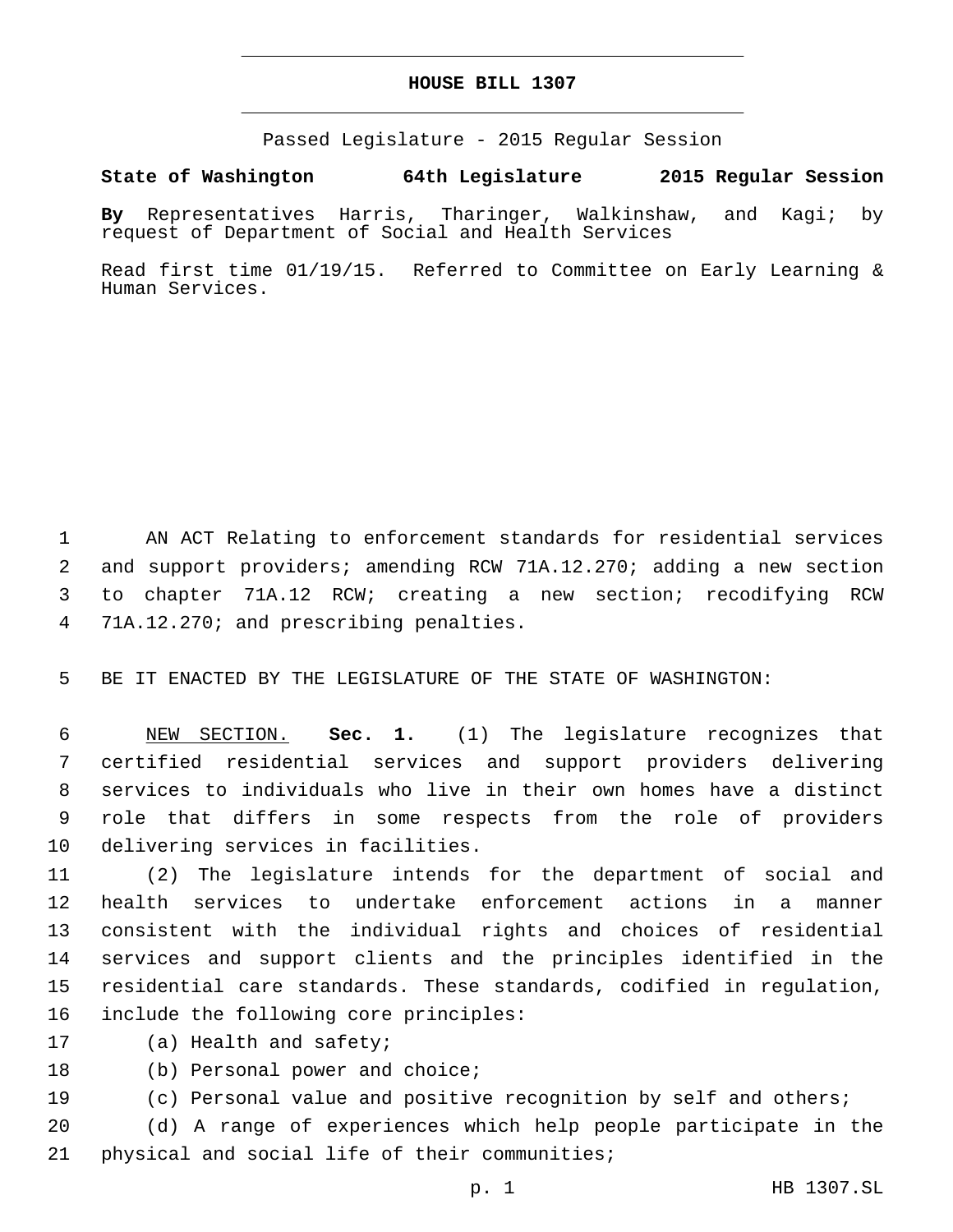### **HOUSE BILL 1307**

Passed Legislature - 2015 Regular Session

# **State of Washington 64th Legislature 2015 Regular Session**

**By** Representatives Harris, Tharinger, Walkinshaw, and Kagi; by request of Department of Social and Health Services

Read first time 01/19/15. Referred to Committee on Early Learning & Human Services.

 AN ACT Relating to enforcement standards for residential services and support providers; amending RCW 71A.12.270; adding a new section to chapter 71A.12 RCW; creating a new section; recodifying RCW 4 71A.12.270; and prescribing penalties.

5 BE IT ENACTED BY THE LEGISLATURE OF THE STATE OF WASHINGTON:

 NEW SECTION. **Sec. 1.** (1) The legislature recognizes that certified residential services and support providers delivering services to individuals who live in their own homes have a distinct role that differs in some respects from the role of providers delivering services in facilities.

 (2) The legislature intends for the department of social and health services to undertake enforcement actions in a manner consistent with the individual rights and choices of residential services and support clients and the principles identified in the residential care standards. These standards, codified in regulation, 16 include the following core principles:

- 17 (a) Health and safety;
- 18 (b) Personal power and choice;
- 19 (c) Personal value and positive recognition by self and others;

20 (d) A range of experiences which help people participate in the 21 physical and social life of their communities;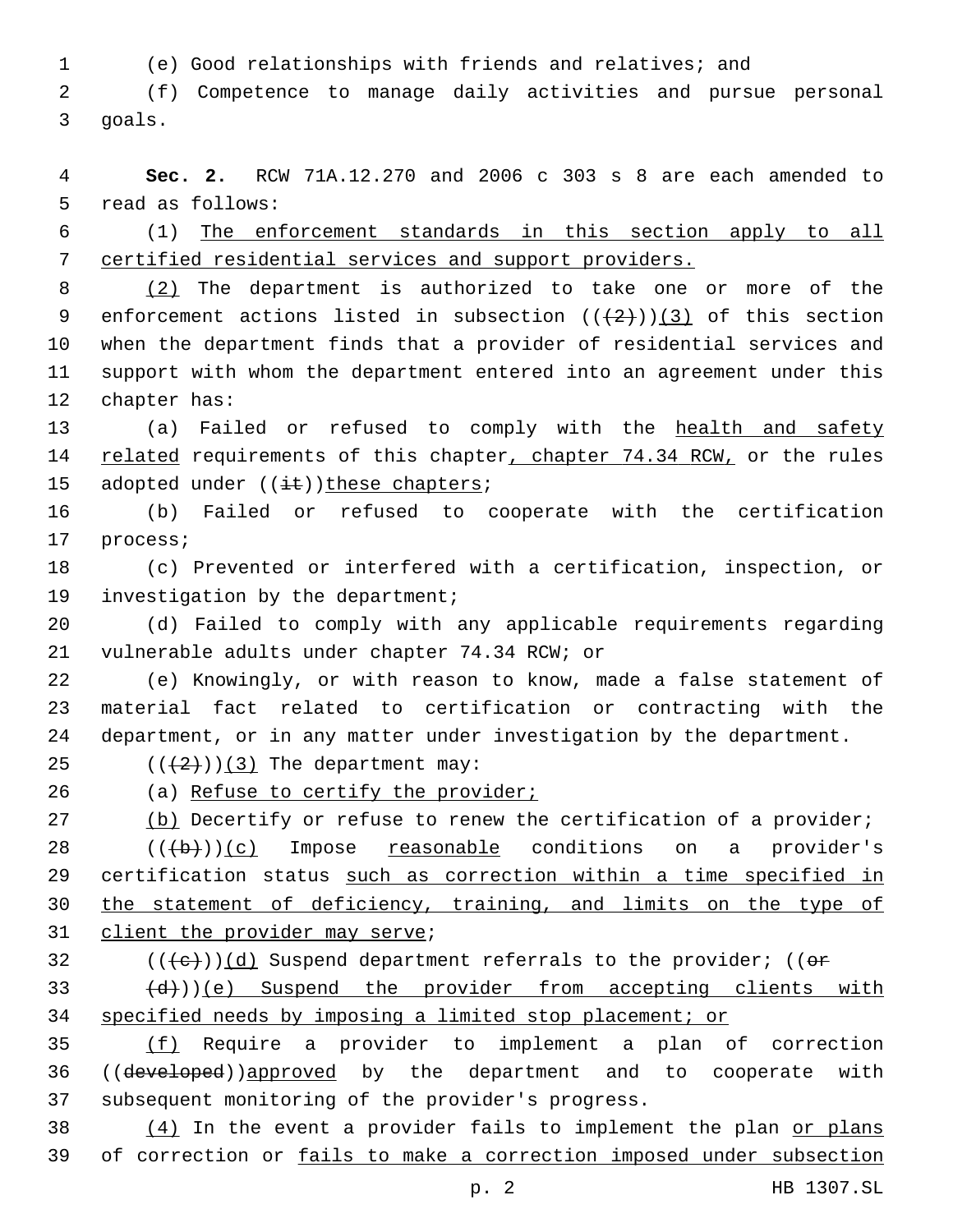1 (e) Good relationships with friends and relatives; and

2 (f) Competence to manage daily activities and pursue personal 3 goals.

4 **Sec. 2.** RCW 71A.12.270 and 2006 c 303 s 8 are each amended to 5 read as follows:

6 (1) The enforcement standards in this section apply to all 7 certified residential services and support providers.

8 (2) The department is authorized to take one or more of the 9 enforcement actions listed in subsection  $((+2+))$  (3) of this section 10 when the department finds that a provider of residential services and 11 support with whom the department entered into an agreement under this 12 chapter has:

13 (a) Failed or refused to comply with the health and safety 14 related requirements of this chapter, chapter 74.34 RCW, or the rules 15 adopted under  $((i+1))$ these chapters;

16 (b) Failed or refused to cooperate with the certification 17 process;

18 (c) Prevented or interfered with a certification, inspection, or 19 investigation by the department;

20 (d) Failed to comply with any applicable requirements regarding 21 vulnerable adults under chapter 74.34 RCW; or

22 (e) Knowingly, or with reason to know, made a false statement of 23 material fact related to certification or contracting with the 24 department, or in any matter under investigation by the department.

25  $((2+))$ (3) The department may:

26 (a) Refuse to certify the provider;

27 (b) Decertify or refuse to renew the certification of a provider;

 $28$   $((+b))$  (c) Impose reasonable conditions on a provider's 29 certification status such as correction within a time specified in 30 the statement of deficiency, training, and limits on the type of 31 client the provider may serve;

 $32$  (( $\left( +e \right)$ )(d) Suspend department referrals to the provider; (( $e \rightleftarrows$ 

 $\left(\frac{d}{d}\right)$ ))(e) Suspend the provider from accepting clients with 34 specified needs by imposing a limited stop placement; or

35 (f) Require a provider to implement a plan of correction 36 ((developed))approved by the department and to cooperate with 37 subsequent monitoring of the provider's progress.

 $38$  (4) In the event a provider fails to implement the plan or plans 39 of correction or fails to make a correction imposed under subsection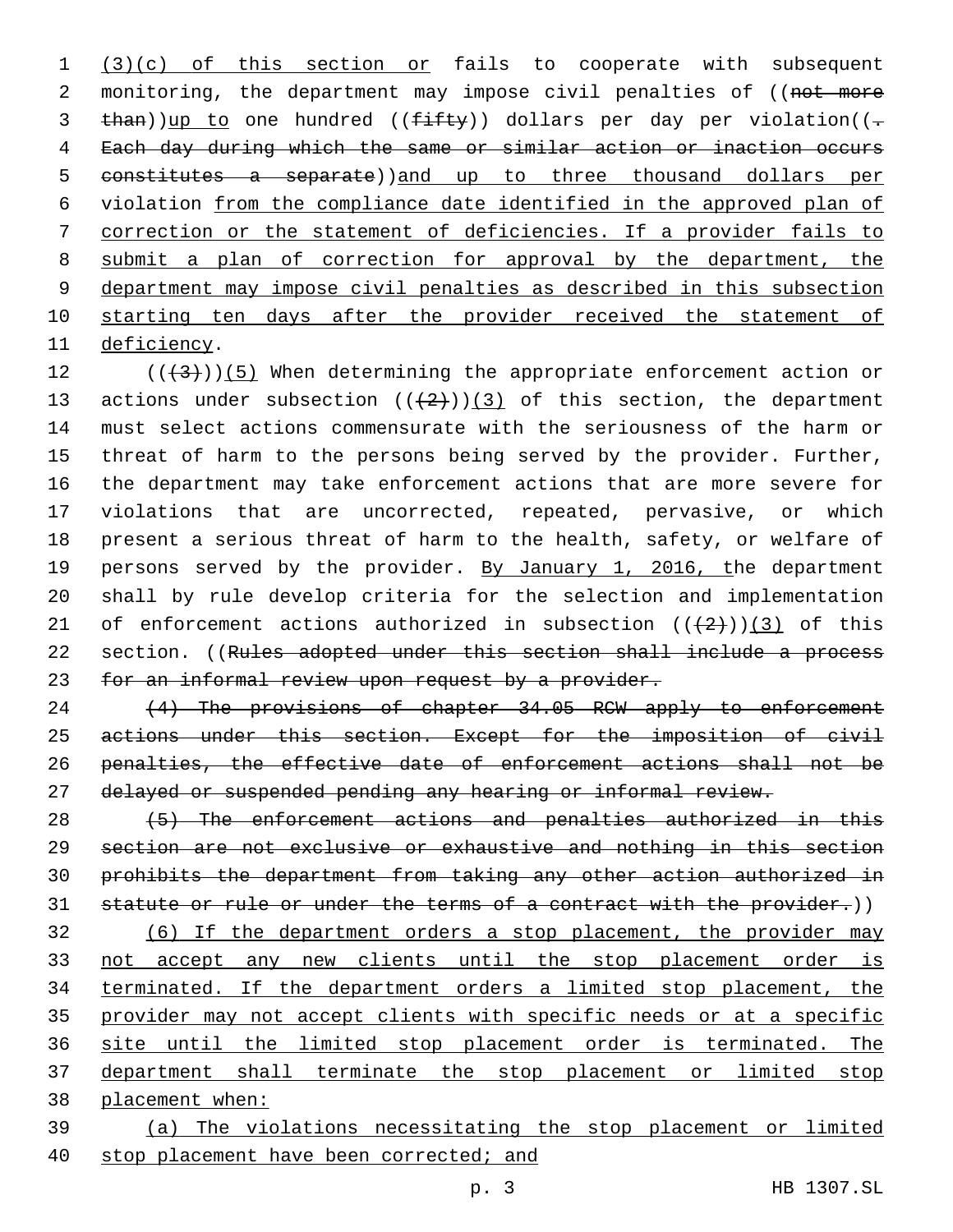1 (3)(c) of this section or fails to cooperate with subsequent 2 monitoring, the department may impose civil penalties of ((not more 3 than))up to one hundred (( $f$ ifty)) dollars per day per violation((- Each day during which the same or similar action or inaction occurs 5 constitutes a separate))and up to three thousand dollars per violation from the compliance date identified in the approved plan of correction or the statement of deficiencies. If a provider fails to submit a plan of correction for approval by the department, the department may impose civil penalties as described in this subsection starting ten days after the provider received the statement of 11 deficiency.

12  $((+3+))$  (5) When determining the appropriate enforcement action or 13 actions under subsection  $((+2))$  (3) of this section, the department must select actions commensurate with the seriousness of the harm or threat of harm to the persons being served by the provider. Further, the department may take enforcement actions that are more severe for violations that are uncorrected, repeated, pervasive, or which present a serious threat of harm to the health, safety, or welfare of 19 persons served by the provider. By January 1, 2016, the department shall by rule develop criteria for the selection and implementation 21 of enforcement actions authorized in subsection  $((+2+))$  (3) of this 22 section. ((Rules adopted under this section shall include a process 23 for an informal review upon request by a provider.

24 (4) The provisions of chapter 34.05 RCW apply to enforcement actions under this section. Except for the imposition of civil penalties, the effective date of enforcement actions shall not be delayed or suspended pending any hearing or informal review.

 (5) The enforcement actions and penalties authorized in this section are not exclusive or exhaustive and nothing in this section prohibits the department from taking any other action authorized in 31 statute or rule or under the terms of a contract with the provider.))

 (6) If the department orders a stop placement, the provider may not accept any new clients until the stop placement order is terminated. If the department orders a limited stop placement, the provider may not accept clients with specific needs or at a specific site until the limited stop placement order is terminated. The department shall terminate the stop placement or limited stop placement when:

 (a) The violations necessitating the stop placement or limited 40 stop placement have been corrected; and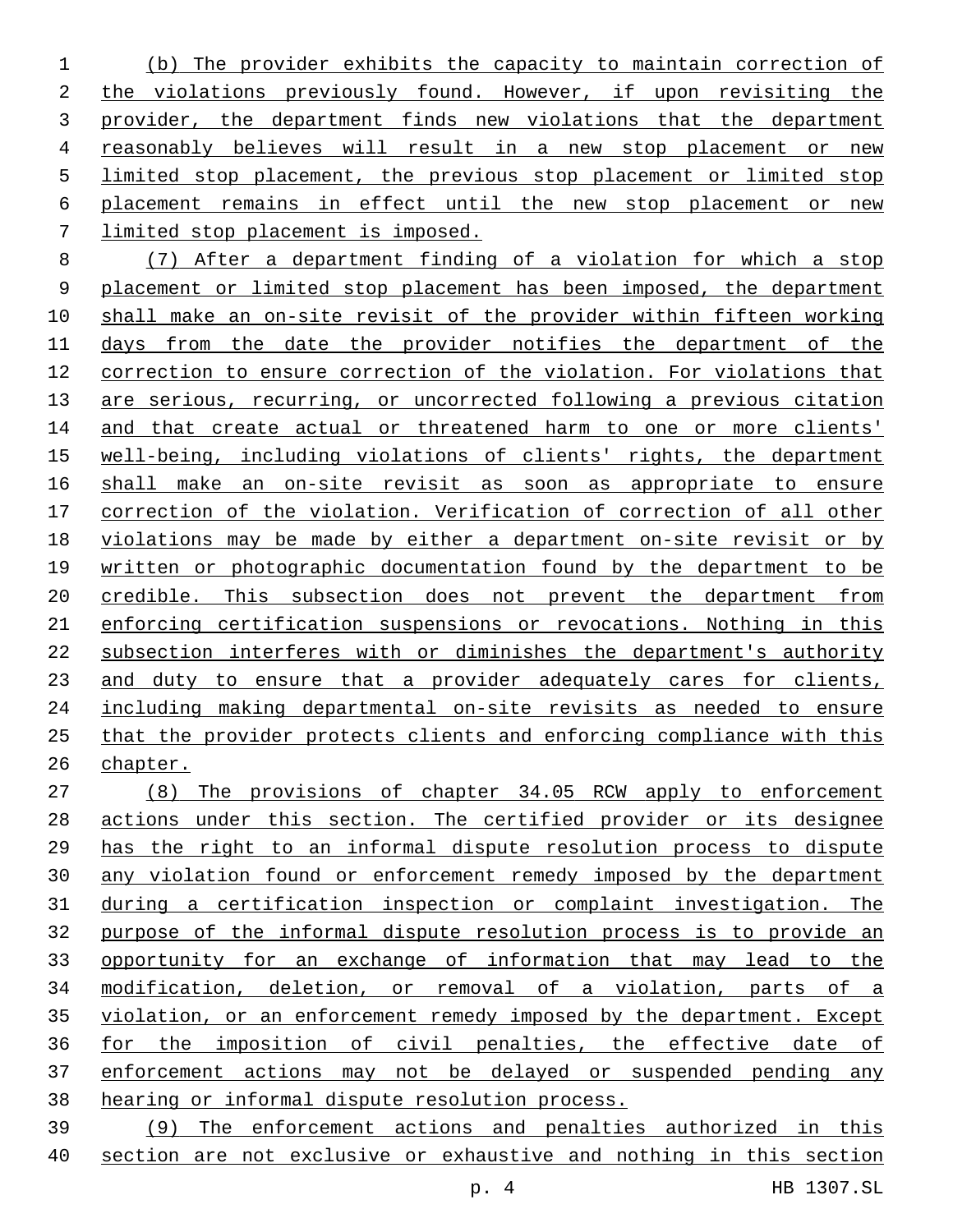(b) The provider exhibits the capacity to maintain correction of the violations previously found. However, if upon revisiting the provider, the department finds new violations that the department reasonably believes will result in a new stop placement or new limited stop placement, the previous stop placement or limited stop placement remains in effect until the new stop placement or new limited stop placement is imposed.

 (7) After a department finding of a violation for which a stop placement or limited stop placement has been imposed, the department shall make an on-site revisit of the provider within fifteen working days from the date the provider notifies the department of the correction to ensure correction of the violation. For violations that are serious, recurring, or uncorrected following a previous citation 14 and that create actual or threatened harm to one or more clients' well-being, including violations of clients' rights, the department shall make an on-site revisit as soon as appropriate to ensure correction of the violation. Verification of correction of all other violations may be made by either a department on-site revisit or by written or photographic documentation found by the department to be credible. This subsection does not prevent the department from enforcing certification suspensions or revocations. Nothing in this subsection interferes with or diminishes the department's authority and duty to ensure that a provider adequately cares for clients, including making departmental on-site revisits as needed to ensure that the provider protects clients and enforcing compliance with this chapter.

 (8) The provisions of chapter 34.05 RCW apply to enforcement actions under this section. The certified provider or its designee has the right to an informal dispute resolution process to dispute any violation found or enforcement remedy imposed by the department during a certification inspection or complaint investigation. The purpose of the informal dispute resolution process is to provide an 33 opportunity for an exchange of information that may lead to the modification, deletion, or removal of a violation, parts of a violation, or an enforcement remedy imposed by the department. Except for the imposition of civil penalties, the effective date of enforcement actions may not be delayed or suspended pending any hearing or informal dispute resolution process.

 (9) The enforcement actions and penalties authorized in this section are not exclusive or exhaustive and nothing in this section